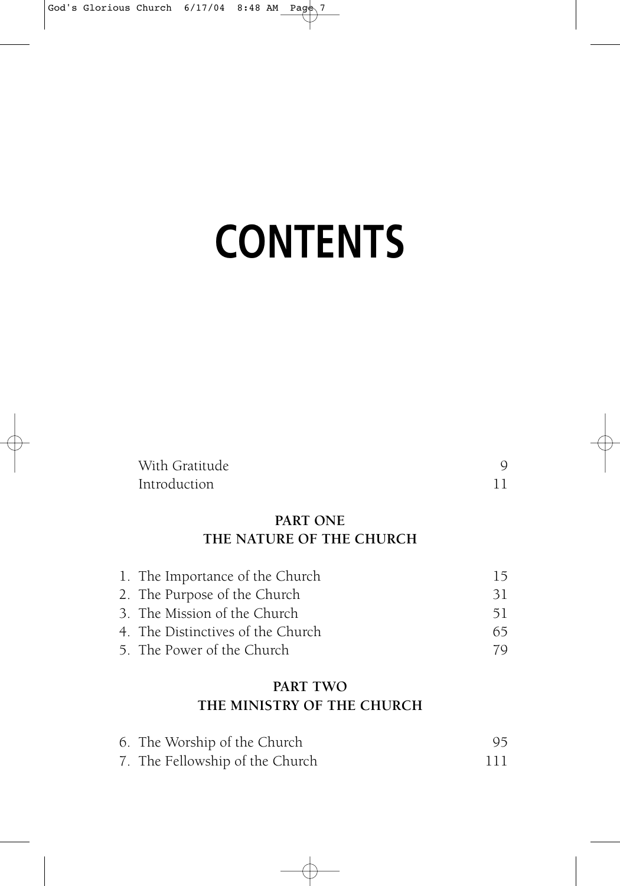# **CONTENTS**

| With Gratitude                       |  |
|--------------------------------------|--|
| Introduction                         |  |
| PART ONE<br>THE NATURE OF THE CHURCH |  |
| 1. The Importance of the Church      |  |

| 2. The Purpose of the Church<br>3. The Mission of the Church<br>4. The Distinctives of the Church<br>5. The Power of the Church | 1. The importance of the Church | $\Box$ |
|---------------------------------------------------------------------------------------------------------------------------------|---------------------------------|--------|
|                                                                                                                                 |                                 | 31     |
|                                                                                                                                 |                                 | 51     |
|                                                                                                                                 |                                 | 65     |
|                                                                                                                                 |                                 | 79     |

### **PART TWO THE MINISTRY OF THE CHURCH**

| 6. The Worship of the Church    | 95.  |
|---------------------------------|------|
| 7. The Fellowship of the Church | -111 |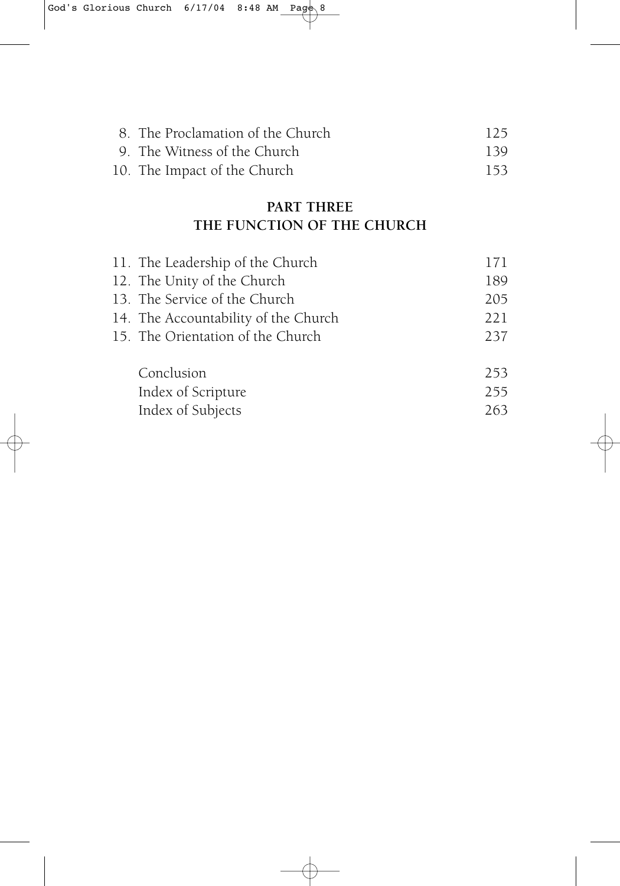| 8. The Proclamation of the Church | 125 |
|-----------------------------------|-----|
| 9. The Witness of the Church      | 139 |
| 10. The Impact of the Church      | 153 |

## **PART THREE THE FUNCTION OF THE CHURCH**

| 11. The Leadership of the Church     | 171 |
|--------------------------------------|-----|
| 12. The Unity of the Church          | 189 |
| 13. The Service of the Church        | 205 |
| 14. The Accountability of the Church | 221 |
| 15. The Orientation of the Church    | 237 |
| Conclusion                           | 253 |
| Index of Scripture                   | 255 |
| Index of Subjects                    | 263 |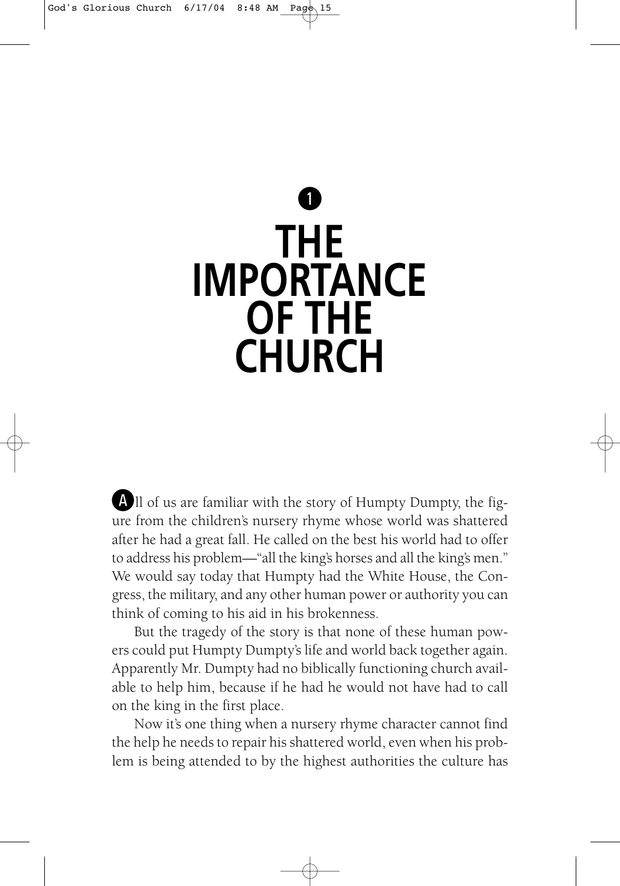# **THE IMPORTANCE OF THE CHURCH** q

All of us are familiar with the story of Humpty Dumpty, the figure from the children's nursery rhyme whose world was shattered after he had a great fall. He called on the best his world had to offer to address his problem—"all the king's horses and all the king's men." We would say today that Humpty had the White House, the Congress, the military, and any other human power or authority you can think of coming to his aid in his brokenness.

But the tragedy of the story is that none of these human powers could put Humpty Dumpty's life and world back together again. Apparently Mr. Dumpty had no biblically functioning church available to help him, because if he had he would not have had to call on the king in the first place.

Now it's one thing when a nursery rhyme character cannot find the help he needs to repair his shattered world, even when his problem is being attended to by the highest authorities the culture has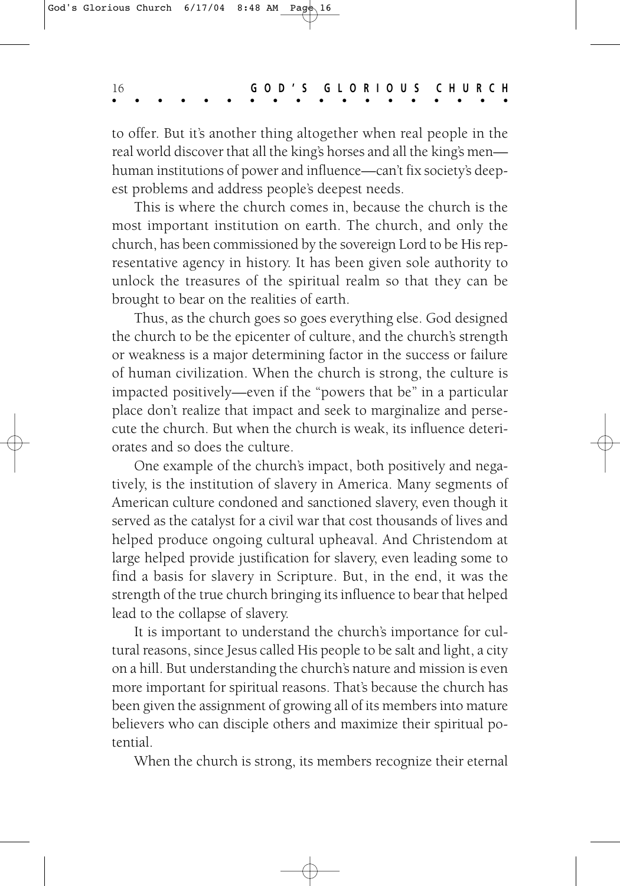to offer. But it's another thing altogether when real people in the real world discover that all the king's horses and all the king's men human institutions of power and influence—can't fix society's deepest problems and address people's deepest needs.

●●●●●●●●●●●●●●●●●●

This is where the church comes in, because the church is the most important institution on earth. The church, and only the church, has been commissioned by the sovereign Lord to be His representative agency in history. It has been given sole authority to unlock the treasures of the spiritual realm so that they can be brought to bear on the realities of earth.

Thus, as the church goes so goes everything else. God designed the church to be the epicenter of culture, and the church's strength or weakness is a major determining factor in the success or failure of human civilization. When the church is strong, the culture is impacted positively—even if the "powers that be" in a particular place don't realize that impact and seek to marginalize and persecute the church. But when the church is weak, its influence deteriorates and so does the culture.

One example of the church's impact, both positively and negatively, is the institution of slavery in America. Many segments of American culture condoned and sanctioned slavery, even though it served as the catalyst for a civil war that cost thousands of lives and helped produce ongoing cultural upheaval. And Christendom at large helped provide justification for slavery, even leading some to find a basis for slavery in Scripture. But, in the end, it was the strength of the true church bringing its influence to bear that helped lead to the collapse of slavery.

It is important to understand the church's importance for cultural reasons, since Jesus called His people to be salt and light, a city on a hill. But understanding the church's nature and mission is even more important for spiritual reasons. That's because the church has been given the assignment of growing all of its members into mature believers who can disciple others and maximize their spiritual potential.

When the church is strong, its members recognize their eternal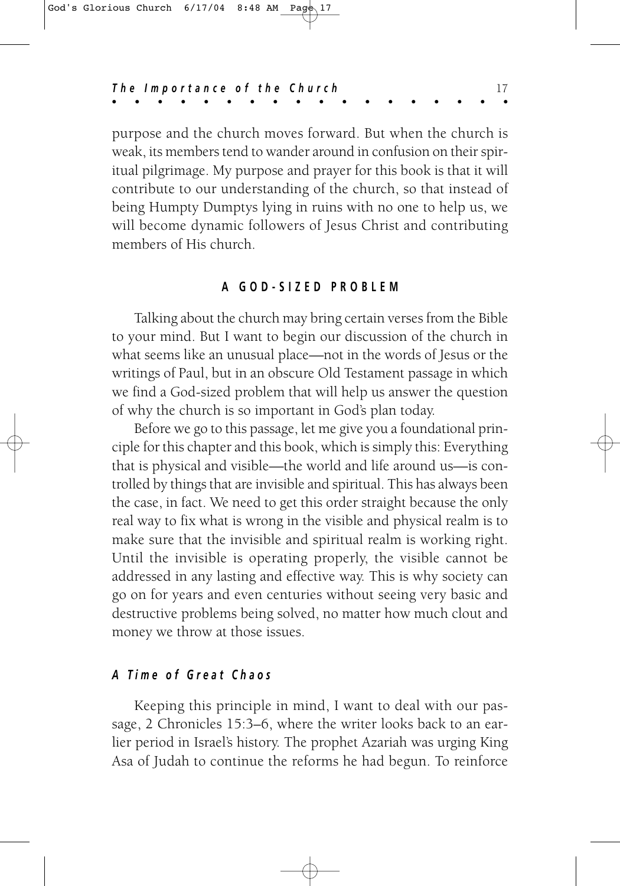purpose and the church moves forward. But when the church is weak, its members tend to wander around in confusion on their spiritual pilgrimage. My purpose and prayer for this book is that it will contribute to our understanding of the church, so that instead of being Humpty Dumptys lying in ruins with no one to help us, we will become dynamic followers of Jesus Christ and contributing members of His church.

#### **A GOD-SIZED PROBLEM**

Talking about the church may bring certain verses from the Bible to your mind. But I want to begin our discussion of the church in what seems like an unusual place—not in the words of Jesus or the writings of Paul, but in an obscure Old Testament passage in which we find a God-sized problem that will help us answer the question of why the church is so important in God's plan today.

Before we go to this passage, let me give you a foundational principle for this chapter and this book, which is simply this: Everything that is physical and visible—the world and life around us—is controlled by things that are invisible and spiritual. This has always been the case, in fact. We need to get this order straight because the only real way to fix what is wrong in the visible and physical realm is to make sure that the invisible and spiritual realm is working right. Until the invisible is operating properly, the visible cannot be addressed in any lasting and effective way. This is why society can go on for years and even centuries without seeing very basic and destructive problems being solved, no matter how much clout and money we throw at those issues.

#### *A Time of Great Chaos*

Keeping this principle in mind, I want to deal with our passage, 2 Chronicles 15:3–6, where the writer looks back to an earlier period in Israel's history. The prophet Azariah was urging King Asa of Judah to continue the reforms he had begun. To reinforce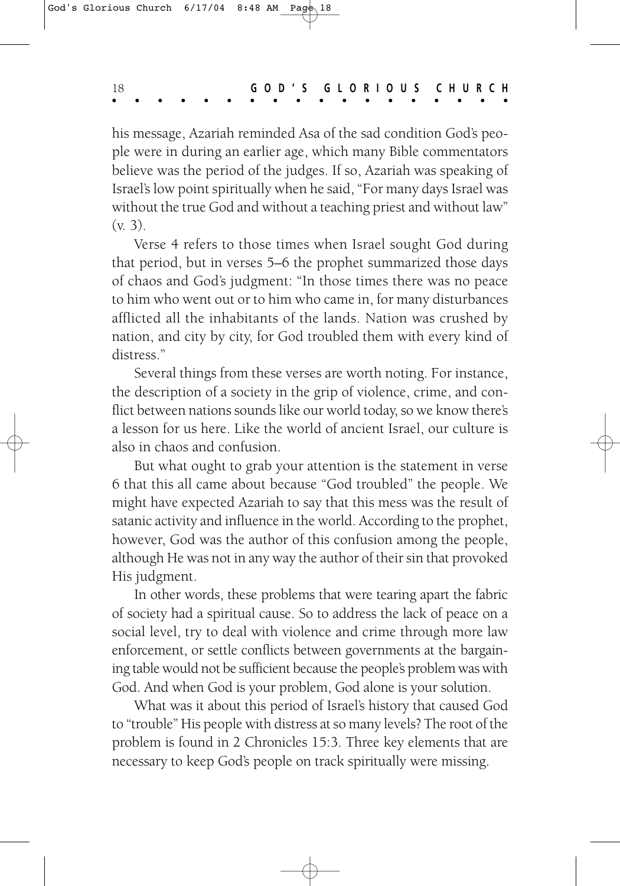18 **GOD'S GLORIOUS CHURCH**

his message, Azariah reminded Asa of the sad condition God's people were in during an earlier age, which many Bible commentators believe was the period of the judges. If so, Azariah was speaking of Israel's low point spiritually when he said, "For many days Israel was without the true God and without a teaching priest and without law"  $(v. 3)$ .

●●●●●●●●●●●●●●●●●●

Verse 4 refers to those times when Israel sought God during that period, but in verses 5–6 the prophet summarized those days of chaos and God's judgment: "In those times there was no peace to him who went out or to him who came in, for many disturbances afflicted all the inhabitants of the lands. Nation was crushed by nation, and city by city, for God troubled them with every kind of distress."

Several things from these verses are worth noting. For instance, the description of a society in the grip of violence, crime, and conflict between nations sounds like our world today, so we know there's a lesson for us here. Like the world of ancient Israel, our culture is also in chaos and confusion.

But what ought to grab your attention is the statement in verse 6 that this all came about because "God troubled" the people. We might have expected Azariah to say that this mess was the result of satanic activity and influence in the world. According to the prophet, however, God was the author of this confusion among the people, although He was not in any way the author of their sin that provoked His judgment.

In other words, these problems that were tearing apart the fabric of society had a spiritual cause. So to address the lack of peace on a social level, try to deal with violence and crime through more law enforcement, or settle conflicts between governments at the bargaining table would not be sufficient because the people's problem was with God. And when God is your problem, God alone is your solution.

What was it about this period of Israel's history that caused God to "trouble" His people with distress at so many levels? The root of the problem is found in 2 Chronicles 15:3. Three key elements that are necessary to keep God's people on track spiritually were missing.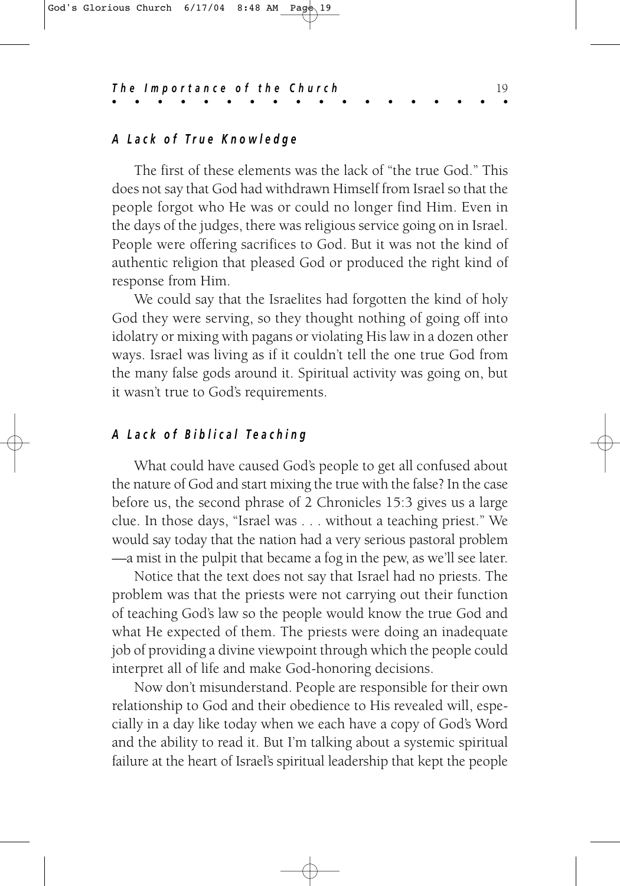#### *A Lack of True Knowledge*

The first of these elements was the lack of "the true God." This does not say that God had withdrawn Himself from Israel so that the people forgot who He was or could no longer find Him. Even in the days of the judges, there was religious service going on in Israel. People were offering sacrifices to God. But it was not the kind of authentic religion that pleased God or produced the right kind of response from Him.

●●●●●●●●●●●●●●●●●●

We could say that the Israelites had forgotten the kind of holy God they were serving, so they thought nothing of going off into idolatry or mixing with pagans or violating His law in a dozen other ways. Israel was living as if it couldn't tell the one true God from the many false gods around it. Spiritual activity was going on, but it wasn't true to God's requirements.

#### *A Lack of Biblical Teaching*

What could have caused God's people to get all confused about the nature of God and start mixing the true with the false? In the case before us, the second phrase of 2 Chronicles 15:3 gives us a large clue. In those days, "Israel was . . . without a teaching priest." We would say today that the nation had a very serious pastoral problem —a mist in the pulpit that became a fog in the pew, as we'll see later.

Notice that the text does not say that Israel had no priests. The problem was that the priests were not carrying out their function of teaching God's law so the people would know the true God and what He expected of them. The priests were doing an inadequate job of providing a divine viewpoint through which the people could interpret all of life and make God-honoring decisions.

Now don't misunderstand. People are responsible for their own relationship to God and their obedience to His revealed will, especially in a day like today when we each have a copy of God's Word and the ability to read it. But I'm talking about a systemic spiritual failure at the heart of Israel's spiritual leadership that kept the people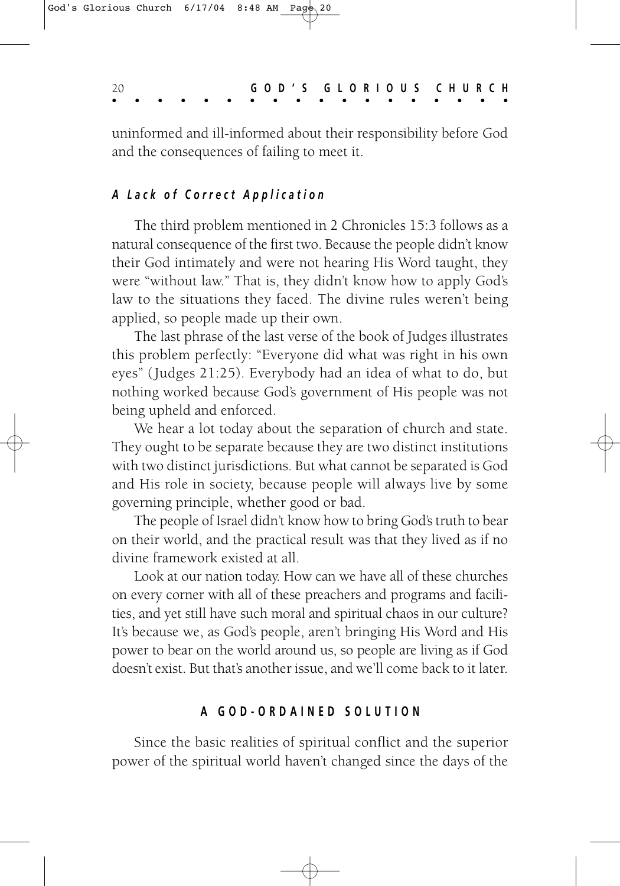uninformed and ill-informed about their responsibility before God and the consequences of failing to meet it.

●●●●●●●●●●●●●●●●●●

#### *A Lack of Correct Application*

The third problem mentioned in 2 Chronicles 15:3 follows as a natural consequence of the first two. Because the people didn't know their God intimately and were not hearing His Word taught, they were "without law." That is, they didn't know how to apply God's law to the situations they faced. The divine rules weren't being applied, so people made up their own.

The last phrase of the last verse of the book of Judges illustrates this problem perfectly: "Everyone did what was right in his own eyes" (Judges 21:25). Everybody had an idea of what to do, but nothing worked because God's government of His people was not being upheld and enforced.

We hear a lot today about the separation of church and state. They ought to be separate because they are two distinct institutions with two distinct jurisdictions. But what cannot be separated is God and His role in society, because people will always live by some governing principle, whether good or bad.

The people of Israel didn't know how to bring God's truth to bear on their world, and the practical result was that they lived as if no divine framework existed at all.

Look at our nation today. How can we have all of these churches on every corner with all of these preachers and programs and facilities, and yet still have such moral and spiritual chaos in our culture? It's because we, as God's people, aren't bringing His Word and His power to bear on the world around us, so people are living as if God doesn't exist. But that's another issue, and we'll come back to it later.

#### **A GOD-ORDAINED SOLUTION**

Since the basic realities of spiritual conflict and the superior power of the spiritual world haven't changed since the days of the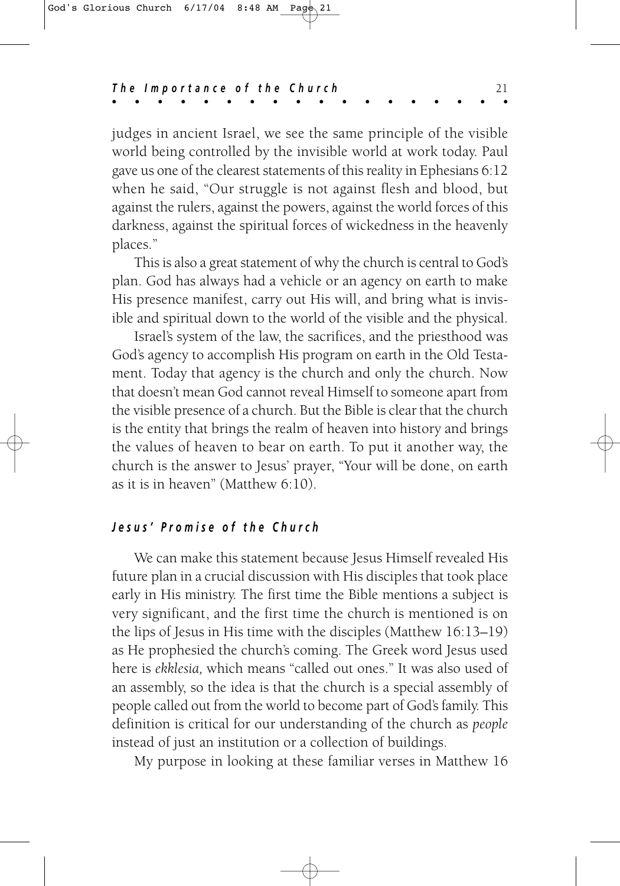judges in ancient Israel, we see the same principle of the visible world being controlled by the invisible world at work today. Paul gave us one of the clearest statements of this reality in Ephesians 6:12 when he said, "Our struggle is not against flesh and blood, but against the rulers, against the powers, against the world forces of this darkness, against the spiritual forces of wickedness in the heavenly places."

This is also a great statement of why the church is central to God's plan. God has always had a vehicle or an agency on earth to make His presence manifest, carry out His will, and bring what is invisible and spiritual down to the world of the visible and the physical.

Israel's system of the law, the sacrifices, and the priesthood was God's agency to accomplish His program on earth in the Old Testament. Today that agency is the church and only the church. Now that doesn't mean God cannot reveal Himself to someone apart from the visible presence of a church. But the Bible is clear that the church is the entity that brings the realm of heaven into history and brings the values of heaven to bear on earth. To put it another way, the church is the answer to Jesus' prayer, "Your will be done, on earth as it is in heaven" (Matthew 6:10).

#### *Jesus' Promise of the Church*

We can make this statement because Jesus Himself revealed His future plan in a crucial discussion with His disciples that took place early in His ministry. The first time the Bible mentions a subject is very significant, and the first time the church is mentioned is on the lips of Jesus in His time with the disciples (Matthew 16:13–19) as He prophesied the church's coming. The Greek word Jesus used here is *ekklesia,* which means "called out ones." It was also used of an assembly, so the idea is that the church is a special assembly of people called out from the world to become part of God's family. This definition is critical for our understanding of the church as *people* instead of just an institution or a collection of buildings.

My purpose in looking at these familiar verses in Matthew 16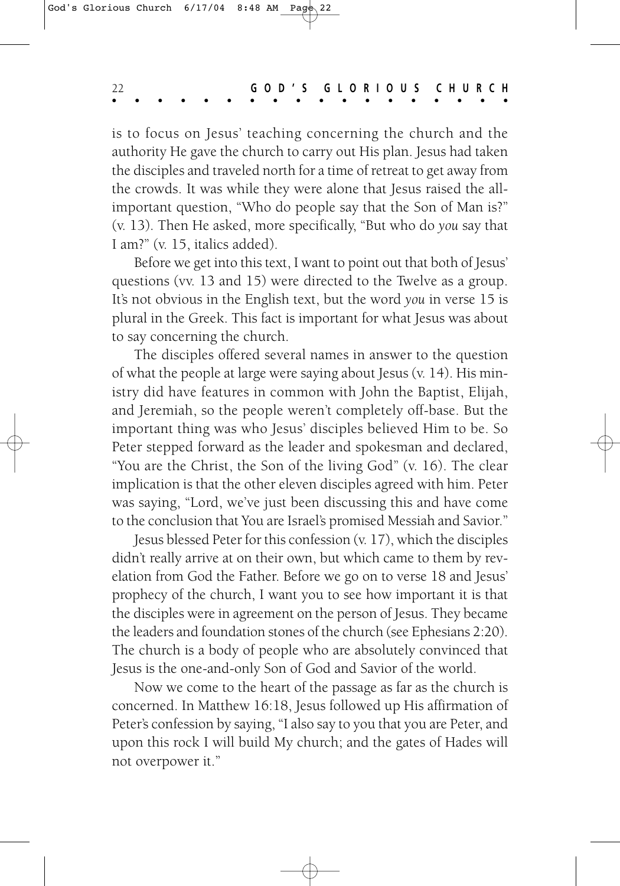is to focus on Jesus' teaching concerning the church and the authority He gave the church to carry out His plan. Jesus had taken the disciples and traveled north for a time of retreat to get away from the crowds. It was while they were alone that Jesus raised the allimportant question, "Who do people say that the Son of Man is?" (v. 13). Then He asked, more specifically, "But who do *you* say that I am?" (v. 15, italics added).

●●●●●●●●●●●●●●●●●●

Before we get into this text, I want to point out that both of Jesus' questions (vv. 13 and 15) were directed to the Twelve as a group. It's not obvious in the English text, but the word *you* in verse 15 is plural in the Greek. This fact is important for what Jesus was about to say concerning the church.

The disciples offered several names in answer to the question of what the people at large were saying about Jesus (v. 14). His ministry did have features in common with John the Baptist, Elijah, and Jeremiah, so the people weren't completely off-base. But the important thing was who Jesus' disciples believed Him to be. So Peter stepped forward as the leader and spokesman and declared, "You are the Christ, the Son of the living God" (v. 16). The clear implication is that the other eleven disciples agreed with him. Peter was saying, "Lord, we've just been discussing this and have come to the conclusion that You are Israel's promised Messiah and Savior."

Jesus blessed Peter for this confession (v. 17), which the disciples didn't really arrive at on their own, but which came to them by revelation from God the Father. Before we go on to verse 18 and Jesus' prophecy of the church, I want you to see how important it is that the disciples were in agreement on the person of Jesus. They became the leaders and foundation stones of the church (see Ephesians 2:20). The church is a body of people who are absolutely convinced that Jesus is the one-and-only Son of God and Savior of the world.

Now we come to the heart of the passage as far as the church is concerned. In Matthew 16:18, Jesus followed up His affirmation of Peter's confession by saying, "I also say to you that you are Peter, and upon this rock I will build My church; and the gates of Hades will not overpower it."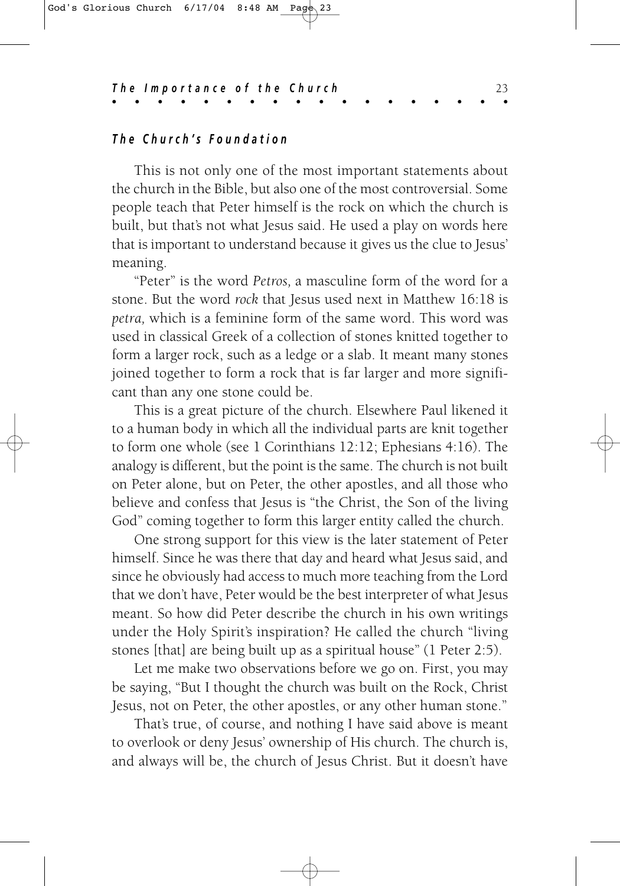#### *The Church's Foundation*

This is not only one of the most important statements about the church in the Bible, but also one of the most controversial. Some people teach that Peter himself is the rock on which the church is built, but that's not what Jesus said. He used a play on words here that is important to understand because it gives us the clue to Jesus' meaning.

●●●●●●●●●●●●●●●●●●

"Peter" is the word *Petros,* a masculine form of the word for a stone. But the word *rock* that Jesus used next in Matthew 16:18 is *petra,* which is a feminine form of the same word. This word was used in classical Greek of a collection of stones knitted together to form a larger rock, such as a ledge or a slab. It meant many stones joined together to form a rock that is far larger and more significant than any one stone could be.

This is a great picture of the church. Elsewhere Paul likened it to a human body in which all the individual parts are knit together to form one whole (see 1 Corinthians 12:12; Ephesians 4:16). The analogy is different, but the point is the same. The church is not built on Peter alone, but on Peter, the other apostles, and all those who believe and confess that Jesus is "the Christ, the Son of the living God" coming together to form this larger entity called the church.

One strong support for this view is the later statement of Peter himself. Since he was there that day and heard what Jesus said, and since he obviously had access to much more teaching from the Lord that we don't have, Peter would be the best interpreter of what Jesus meant. So how did Peter describe the church in his own writings under the Holy Spirit's inspiration? He called the church "living stones [that] are being built up as a spiritual house" (1 Peter 2:5).

Let me make two observations before we go on. First, you may be saying, "But I thought the church was built on the Rock, Christ Jesus, not on Peter, the other apostles, or any other human stone."

That's true, of course, and nothing I have said above is meant to overlook or deny Jesus' ownership of His church. The church is, and always will be, the church of Jesus Christ. But it doesn't have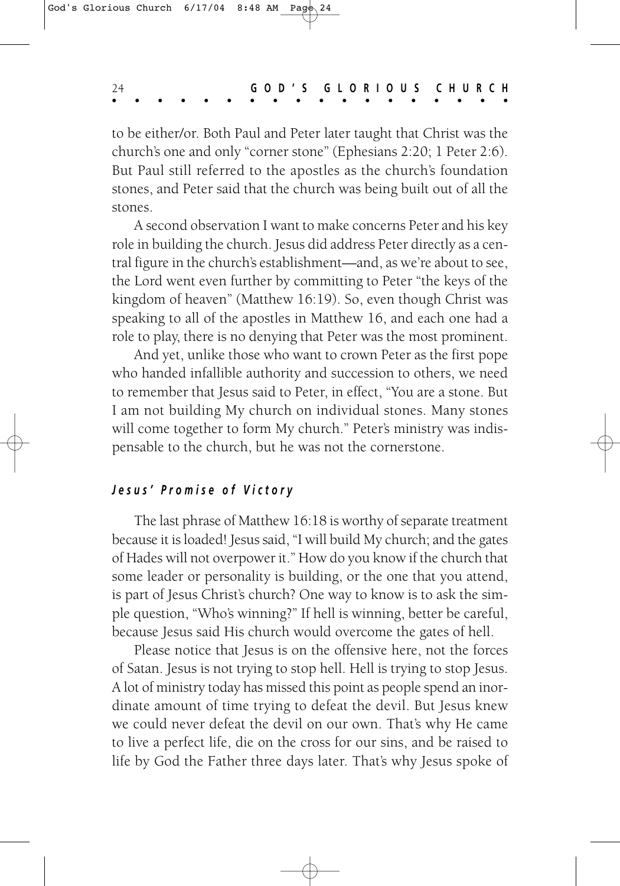24 **GOD'S GLORIOUS CHURCH**

to be either/or. Both Paul and Peter later taught that Christ was the church's one and only "corner stone" (Ephesians 2:20; 1 Peter 2:6). But Paul still referred to the apostles as the church's foundation stones, and Peter said that the church was being built out of all the stones.

●●●●●●●●●●●●●●●●●●

A second observation I want to make concerns Peter and his key role in building the church. Jesus did address Peter directly as a central figure in the church's establishment—and, as we're about to see, the Lord went even further by committing to Peter "the keys of the kingdom of heaven" (Matthew 16:19). So, even though Christ was speaking to all of the apostles in Matthew 16, and each one had a role to play, there is no denying that Peter was the most prominent.

And yet, unlike those who want to crown Peter as the first pope who handed infallible authority and succession to others, we need to remember that Jesus said to Peter, in effect, "You are a stone. But I am not building My church on individual stones. Many stones will come together to form My church." Peter's ministry was indispensable to the church, but he was not the cornerstone.

#### *Jesus' Promise of Victory*

The last phrase of Matthew 16:18 is worthy of separate treatment because it is loaded! Jesus said, "I will build My church; and the gates of Hades will not overpower it." How do you know if the church that some leader or personality is building, or the one that you attend, is part of Jesus Christ's church? One way to know is to ask the simple question, "Who's winning?" If hell is winning, better be careful, because Jesus said His church would overcome the gates of hell.

Please notice that Jesus is on the offensive here, not the forces of Satan. Jesus is not trying to stop hell. Hell is trying to stop Jesus. A lot of ministry today has missed this point as people spend an inordinate amount of time trying to defeat the devil. But Jesus knew we could never defeat the devil on our own. That's why He came to live a perfect life, die on the cross for our sins, and be raised to life by God the Father three days later. That's why Jesus spoke of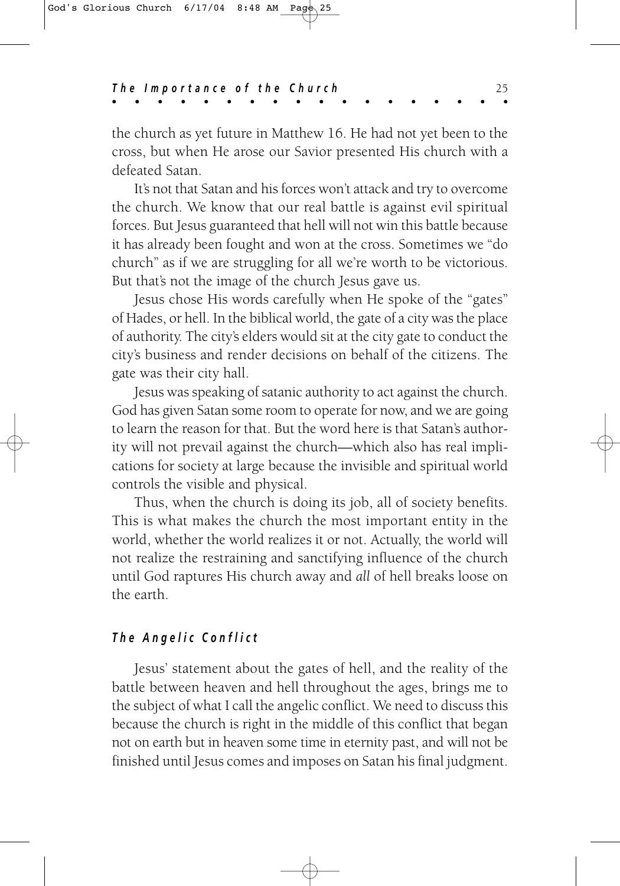the church as yet future in Matthew 16. He had not yet been to the cross, but when He arose our Savior presented His church with a defeated Satan.

It's not that Satan and his forces won't attack and try to overcome the church. We know that our real battle is against evil spiritual forces. But Jesus guaranteed that hell will not win this battle because it has already been fought and won at the cross. Sometimes we "do church" as if we are struggling for all we're worth to be victorious. But that's not the image of the church Jesus gave us.

Jesus chose His words carefully when He spoke of the "gates" of Hades, or hell. In the biblical world, the gate of a city was the place of authority. The city's elders would sit at the city gate to conduct the city's business and render decisions on behalf of the citizens. The gate was their city hall.

Jesus was speaking of satanic authority to act against the church. God has given Satan some room to operate for now, and we are going to learn the reason for that. But the word here is that Satan's authority will not prevail against the church—which also has real implications for society at large because the invisible and spiritual world controls the visible and physical.

Thus, when the church is doing its job, all of society benefits. This is what makes the church the most important entity in the world, whether the world realizes it or not. Actually, the world will not realize the restraining and sanctifying influence of the church until God raptures His church away and *all* of hell breaks loose on the earth.

#### *The Angelic Conflict*

Jesus' statement about the gates of hell, and the reality of the battle between heaven and hell throughout the ages, brings me to the subject of what I call the angelic conflict. We need to discuss this because the church is right in the middle of this conflict that began not on earth but in heaven some time in eternity past, and will not be finished until Jesus comes and imposes on Satan his final judgment.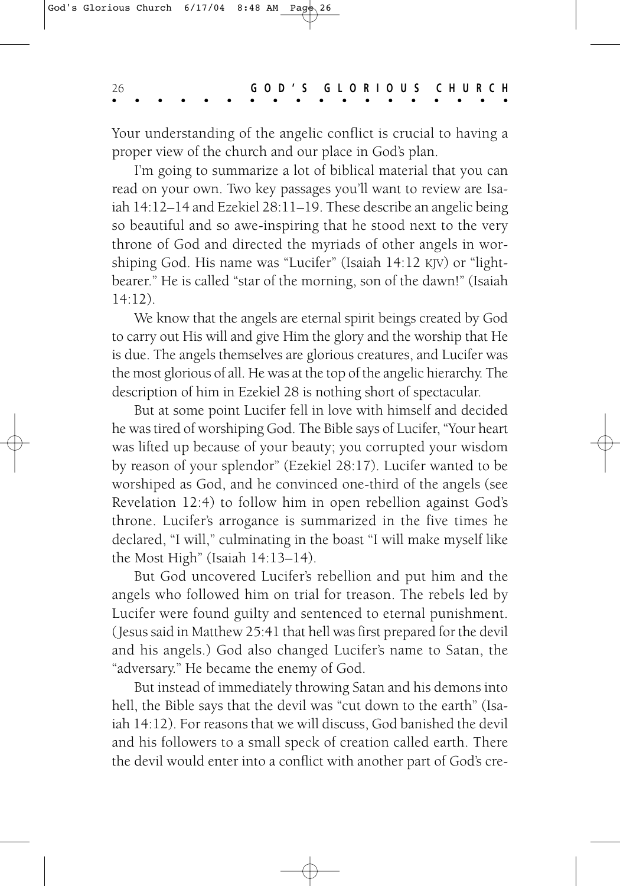26 **GOD'S GLORIOUS CHURCH** ●●●●●●●●●●●●●●●●●●

Your understanding of the angelic conflict is crucial to having a proper view of the church and our place in God's plan.

I'm going to summarize a lot of biblical material that you can read on your own. Two key passages you'll want to review are Isaiah 14:12–14 and Ezekiel 28:11–19. These describe an angelic being so beautiful and so awe-inspiring that he stood next to the very throne of God and directed the myriads of other angels in worshiping God. His name was "Lucifer" (Isaiah 14:12 KJV) or "lightbearer." He is called "star of the morning, son of the dawn!" (Isaiah 14:12).

We know that the angels are eternal spirit beings created by God to carry out His will and give Him the glory and the worship that He is due. The angels themselves are glorious creatures, and Lucifer was the most glorious of all. He was at the top of the angelic hierarchy. The description of him in Ezekiel 28 is nothing short of spectacular.

But at some point Lucifer fell in love with himself and decided he was tired of worshiping God. The Bible says of Lucifer, "Your heart was lifted up because of your beauty; you corrupted your wisdom by reason of your splendor" (Ezekiel 28:17). Lucifer wanted to be worshiped as God, and he convinced one-third of the angels (see Revelation 12:4) to follow him in open rebellion against God's throne. Lucifer's arrogance is summarized in the five times he declared, "I will," culminating in the boast "I will make myself like the Most High" (Isaiah 14:13–14).

But God uncovered Lucifer's rebellion and put him and the angels who followed him on trial for treason. The rebels led by Lucifer were found guilty and sentenced to eternal punishment. (Jesus said in Matthew 25:41 that hell was first prepared for the devil and his angels.) God also changed Lucifer's name to Satan, the "adversary." He became the enemy of God.

But instead of immediately throwing Satan and his demons into hell, the Bible says that the devil was "cut down to the earth" (Isaiah 14:12). For reasons that we will discuss, God banished the devil and his followers to a small speck of creation called earth. There the devil would enter into a conflict with another part of God's cre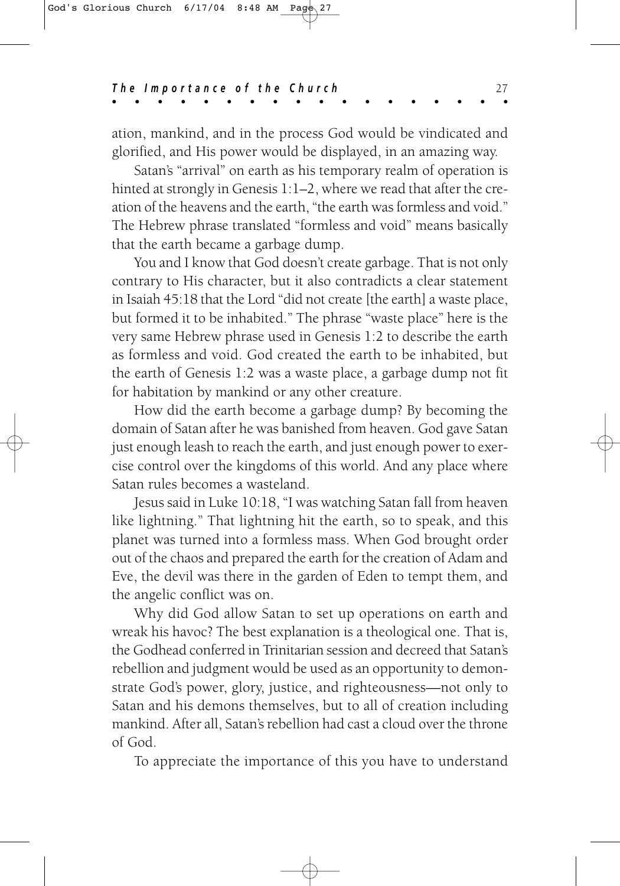ation, mankind, and in the process God would be vindicated and glorified, and His power would be displayed, in an amazing way.

Satan's "arrival" on earth as his temporary realm of operation is hinted at strongly in Genesis 1:1–2, where we read that after the creation of the heavens and the earth, "the earth was formless and void." The Hebrew phrase translated "formless and void" means basically that the earth became a garbage dump.

You and I know that God doesn't create garbage. That is not only contrary to His character, but it also contradicts a clear statement in Isaiah 45:18 that the Lord "did not create [the earth] a waste place, but formed it to be inhabited." The phrase "waste place" here is the very same Hebrew phrase used in Genesis 1:2 to describe the earth as formless and void. God created the earth to be inhabited, but the earth of Genesis 1:2 was a waste place, a garbage dump not fit for habitation by mankind or any other creature.

How did the earth become a garbage dump? By becoming the domain of Satan after he was banished from heaven. God gave Satan just enough leash to reach the earth, and just enough power to exercise control over the kingdoms of this world. And any place where Satan rules becomes a wasteland.

Jesus said in Luke 10:18, "I was watching Satan fall from heaven like lightning." That lightning hit the earth, so to speak, and this planet was turned into a formless mass. When God brought order out of the chaos and prepared the earth for the creation of Adam and Eve, the devil was there in the garden of Eden to tempt them, and the angelic conflict was on.

Why did God allow Satan to set up operations on earth and wreak his havoc? The best explanation is a theological one. That is, the Godhead conferred in Trinitarian session and decreed that Satan's rebellion and judgment would be used as an opportunity to demonstrate God's power, glory, justice, and righteousness—not only to Satan and his demons themselves, but to all of creation including mankind. After all, Satan's rebellion had cast a cloud over the throne of God.

To appreciate the importance of this you have to understand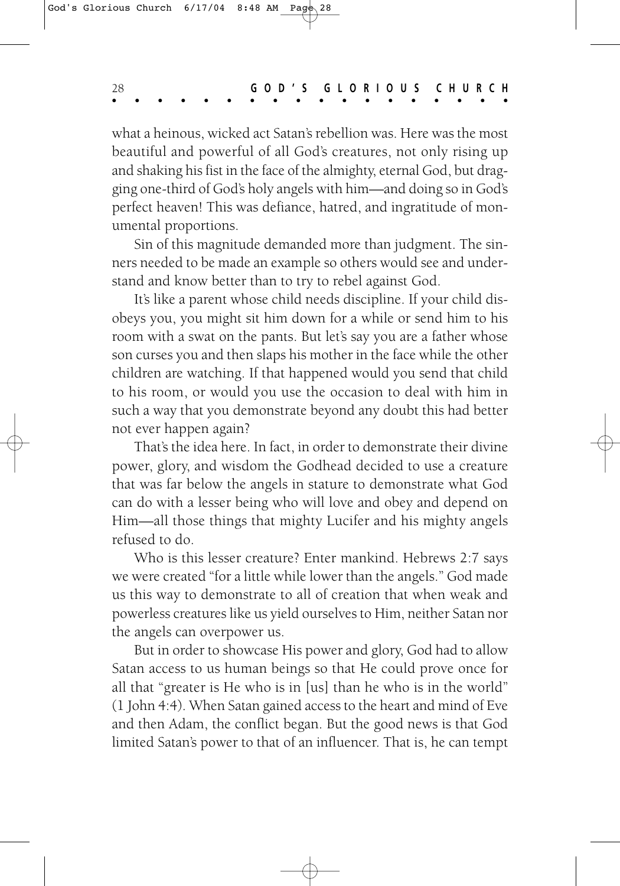what a heinous, wicked act Satan's rebellion was. Here was the most beautiful and powerful of all God's creatures, not only rising up and shaking his fist in the face of the almighty, eternal God, but dragging one-third of God's holy angels with him—and doing so in God's perfect heaven! This was defiance, hatred, and ingratitude of monumental proportions.

Sin of this magnitude demanded more than judgment. The sinners needed to be made an example so others would see and understand and know better than to try to rebel against God.

It's like a parent whose child needs discipline. If your child disobeys you, you might sit him down for a while or send him to his room with a swat on the pants. But let's say you are a father whose son curses you and then slaps his mother in the face while the other children are watching. If that happened would you send that child to his room, or would you use the occasion to deal with him in such a way that you demonstrate beyond any doubt this had better not ever happen again?

That's the idea here. In fact, in order to demonstrate their divine power, glory, and wisdom the Godhead decided to use a creature that was far below the angels in stature to demonstrate what God can do with a lesser being who will love and obey and depend on Him—all those things that mighty Lucifer and his mighty angels refused to do.

Who is this lesser creature? Enter mankind. Hebrews 2:7 says we were created "for a little while lower than the angels." God made us this way to demonstrate to all of creation that when weak and powerless creatures like us yield ourselves to Him, neither Satan nor the angels can overpower us.

But in order to showcase His power and glory, God had to allow Satan access to us human beings so that He could prove once for all that "greater is He who is in [us] than he who is in the world" (1 John 4:4). When Satan gained access to the heart and mind of Eve and then Adam, the conflict began. But the good news is that God limited Satan's power to that of an influencer. That is, he can tempt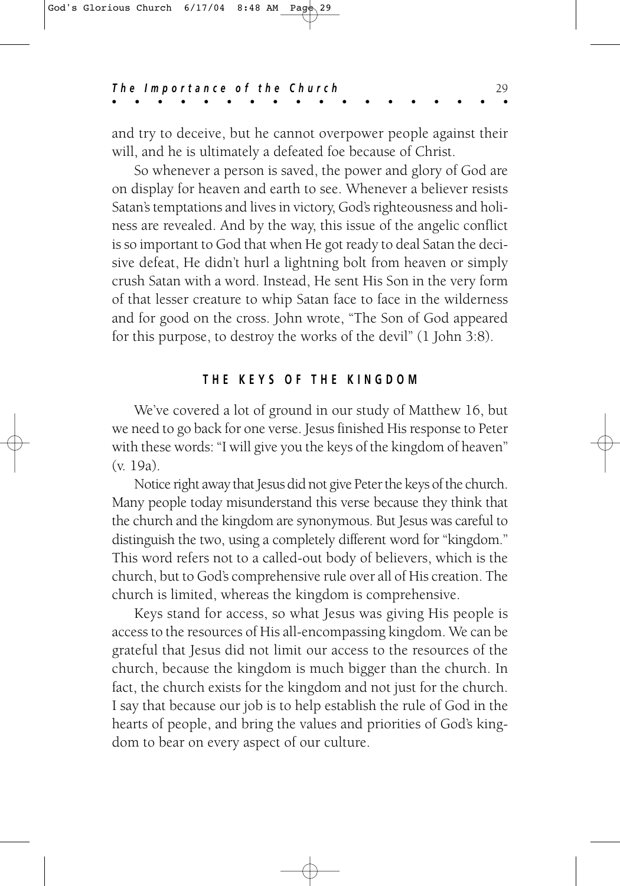and try to deceive, but he cannot overpower people against their will, and he is ultimately a defeated foe because of Christ.

So whenever a person is saved, the power and glory of God are on display for heaven and earth to see. Whenever a believer resists Satan's temptations and lives in victory, God's righteousness and holiness are revealed. And by the way, this issue of the angelic conflict is so important to God that when He got ready to deal Satan the decisive defeat, He didn't hurl a lightning bolt from heaven or simply crush Satan with a word. Instead, He sent His Son in the very form of that lesser creature to whip Satan face to face in the wilderness and for good on the cross. John wrote, "The Son of God appeared for this purpose, to destroy the works of the devil" (1 John 3:8).

#### **THE KEYS OF THE KINGDOM**

We've covered a lot of ground in our study of Matthew 16, but we need to go back for one verse. Jesus finished His response to Peter with these words: "I will give you the keys of the kingdom of heaven"  $(v. 19a)$ .

Notice right away that Jesus did not give Peter the keys of the church. Many people today misunderstand this verse because they think that the church and the kingdom are synonymous. But Jesus was careful to distinguish the two, using a completely different word for "kingdom." This word refers not to a called-out body of believers, which is the church, but to God's comprehensive rule over all of His creation. The church is limited, whereas the kingdom is comprehensive.

Keys stand for access, so what Jesus was giving His people is access to the resources of His all-encompassing kingdom. We can be grateful that Jesus did not limit our access to the resources of the church, because the kingdom is much bigger than the church. In fact, the church exists for the kingdom and not just for the church. I say that because our job is to help establish the rule of God in the hearts of people, and bring the values and priorities of God's kingdom to bear on every aspect of our culture.